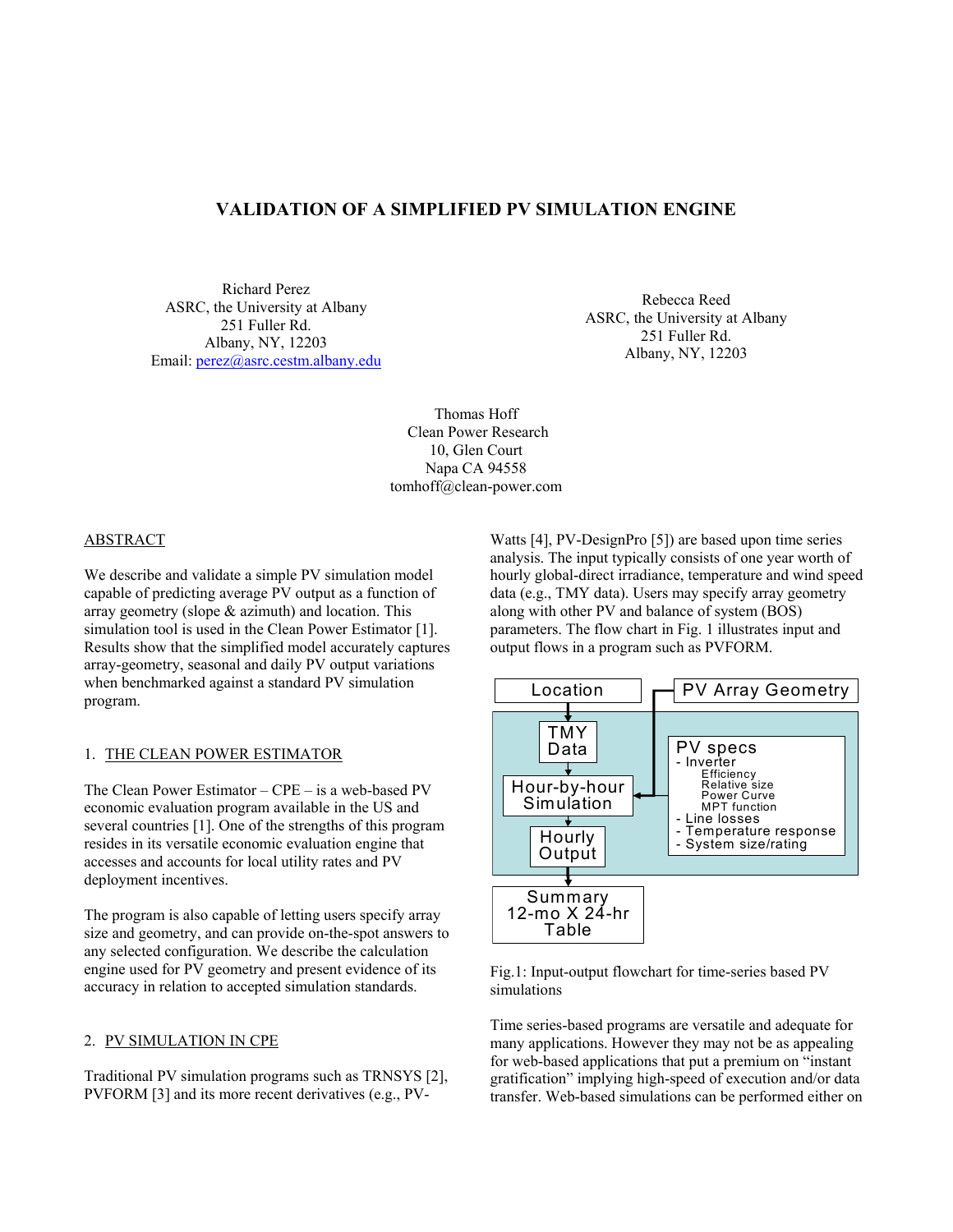# **VALIDATION OF A SIMPLIFIED PV SIMULATION ENGINE**

Richard Perez ASRC, the University at Albany 251 Fuller Rd. Albany, NY, 12203 Email: perez@asrc.cestm.albany.edu

Rebecca Reed ASRC, the University at Albany 251 Fuller Rd. Albany, NY, 12203

Thomas Hoff Clean Power Research 10, Glen Court Napa CA 94558 tomhoff@clean-power.com

### ABSTRACT

We describe and validate a simple PV simulation model capable of predicting average PV output as a function of array geometry (slope & azimuth) and location. This simulation tool is used in the Clean Power Estimator [1]. Results show that the simplified model accurately captures array-geometry, seasonal and daily PV output variations when benchmarked against a standard PV simulation program.

### 1. THE CLEAN POWER ESTIMATOR

The Clean Power Estimator – CPE – is a web-based PV economic evaluation program available in the US and several countries [1]. One of the strengths of this program resides in its versatile economic evaluation engine that accesses and accounts for local utility rates and PV deployment incentives.

The program is also capable of letting users specify array size and geometry, and can provide on-the-spot answers to any selected configuration. We describe the calculation engine used for PV geometry and present evidence of its accuracy in relation to accepted simulation standards.

#### 2. PV SIMULATION IN CPE

Traditional PV simulation programs such as TRNSYS [2], PVFORM [3] and its more recent derivatives (e.g., PV-

Watts [4], PV-DesignPro [5]) are based upon time series analysis. The input typically consists of one year worth of hourly global-direct irradiance, temperature and wind speed data (e.g., TMY data). Users may specify array geometry along with other PV and balance of system (BOS) parameters. The flow chart in Fig. 1 illustrates input and output flows in a program such as PVFORM.





Time series-based programs are versatile and adequate for many applications. However they may not be as appealing for web-based applications that put a premium on "instant gratification" implying high-speed of execution and/or data transfer. Web-based simulations can be performed either on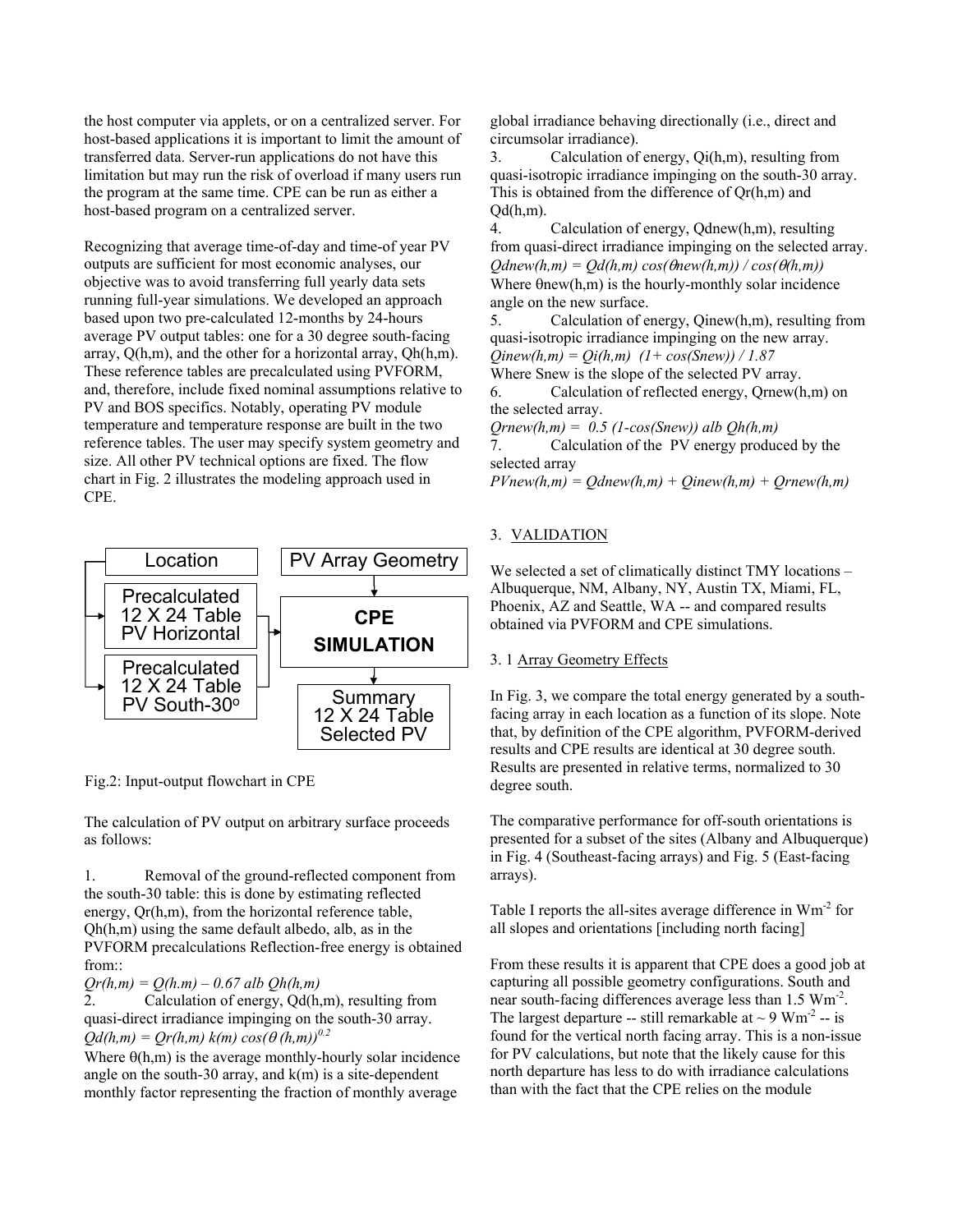the host computer via applets, or on a centralized server. For host-based applications it is important to limit the amount of transferred data. Server-run applications do not have this limitation but may run the risk of overload if many users run the program at the same time. CPE can be run as either a host-based program on a centralized server.

Recognizing that average time-of-day and time-of year PV outputs are sufficient for most economic analyses, our objective was to avoid transferring full yearly data sets running full-year simulations. We developed an approach based upon two pre-calculated 12-months by 24-hours average PV output tables: one for a 30 degree south-facing array, Q(h,m), and the other for a horizontal array, Qh(h,m). These reference tables are precalculated using PVFORM, and, therefore, include fixed nominal assumptions relative to PV and BOS specifics. Notably, operating PV module temperature and temperature response are built in the two reference tables. The user may specify system geometry and size. All other PV technical options are fixed. The flow chart in Fig. 2 illustrates the modeling approach used in CPE.



Fig.2: Input-output flowchart in CPE

The calculation of PV output on arbitrary surface proceeds as follows:

1. Removal of the ground-reflected component from the south-30 table: this is done by estimating reflected energy, Qr(h,m), from the horizontal reference table, Qh(h,m) using the same default albedo, alb, as in the PVFORM precalculations Reflection-free energy is obtained from::

*Qr(h,m) = Q(h.m) – 0.67 alb Qh(h,m)* 

2. Calculation of energy, Qd(h,m), resulting from quasi-direct irradiance impinging on the south-30 array.  $Qd(h,m) = Qr(h,m) k(m) cos(\theta(h,m))^{0.2}$ 

Where  $\theta$ (h,m) is the average monthly-hourly solar incidence angle on the south-30 array, and  $k(m)$  is a site-dependent monthly factor representing the fraction of monthly average

global irradiance behaving directionally (i.e., direct and circumsolar irradiance).

3. Calculation of energy, Qi(h,m), resulting from quasi-isotropic irradiance impinging on the south-30 array. This is obtained from the difference of Qr(h,m) and  $Od(h,m)$ .

4. Calculation of energy, Qdnew(h,m), resulting from quasi-direct irradiance impinging on the selected array.  $Q$ *dnew*( $h,m$ ) =  $Q$ *d*( $h,m$ ) *cos*( $\theta$  $h,m$ )) /  $cos(\theta(h,m))$ Where  $\theta$ new(h,m) is the hourly-monthly solar incidence angle on the new surface.

5. Calculation of energy, Qinew(h,m), resulting from quasi-isotropic irradiance impinging on the new array. *Qinew(h,m) = Qi(h,m) (1+ cos(Snew)) / 1.87* 

Where Snew is the slope of the selected PV array.

6. Calculation of reflected energy, Qrnew(h,m) on the selected array.

 $O$ *rnew*( $h,m$ ) = 0.5 (1-cos(Snew)) alb  $Oh(h,m)$ 

7. Calculation of the PV energy produced by the selected array

 $PVnew(h,m) = Odnew(h,m) + Oinew(h,m) + Ornew(h,m)$ 

# 3. VALIDATION

We selected a set of climatically distinct TMY locations – Albuquerque, NM, Albany, NY, Austin TX, Miami, FL, Phoenix, AZ and Seattle, WA -- and compared results obtained via PVFORM and CPE simulations.

## 3. 1 Array Geometry Effects

In Fig. 3, we compare the total energy generated by a southfacing array in each location as a function of its slope. Note that, by definition of the CPE algorithm, PVFORM-derived results and CPE results are identical at 30 degree south. Results are presented in relative terms, normalized to 30 degree south.

The comparative performance for off-south orientations is presented for a subset of the sites (Albany and Albuquerque) in Fig. 4 (Southeast-facing arrays) and Fig. 5 (East-facing arrays).

Table I reports the all-sites average difference in  $Wm<sup>-2</sup>$  for all slopes and orientations [including north facing]

From these results it is apparent that CPE does a good job at capturing all possible geometry configurations. South and near south-facing differences average less than 1.5  $Wm<sup>-2</sup>$ . The largest departure -- still remarkable at  $\sim$  9 Wm<sup>-2</sup> -- is found for the vertical north facing array. This is a non-issue for PV calculations, but note that the likely cause for this north departure has less to do with irradiance calculations than with the fact that the CPE relies on the module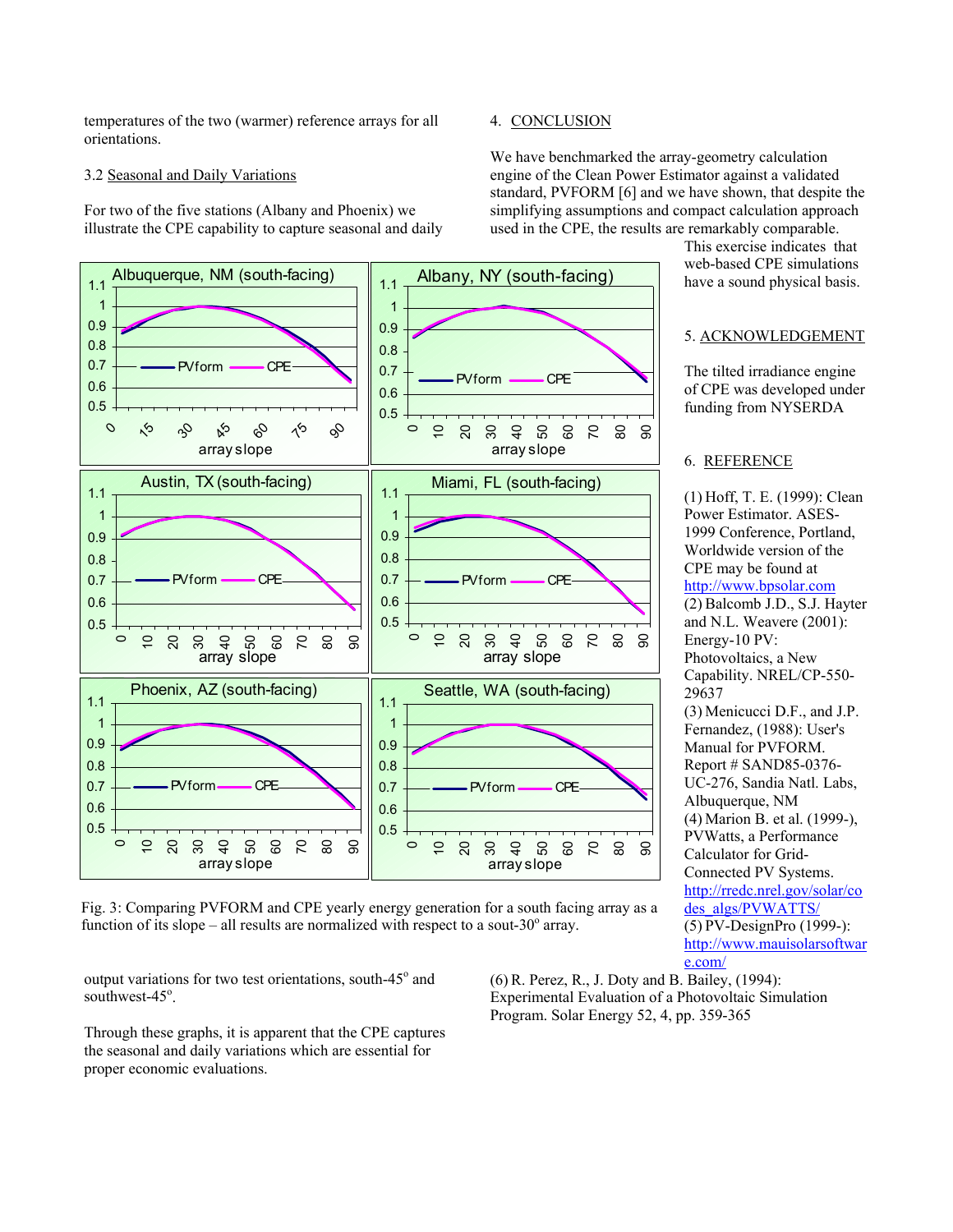temperatures of the two (warmer) reference arrays for all orientations.

### 3.2 Seasonal and Daily Variations

For two of the five stations (Albany and Phoenix) we illustrate the CPE capability to capture seasonal and daily

### 4. CONCLUSION

We have benchmarked the array-geometry calculation engine of the Clean Power Estimator against a validated standard, PVFORM [6] and we have shown, that despite the simplifying assumptions and compact calculation approach used in the CPE, the results are remarkably comparable.

> This exercise indicates that web-based CPE simulations have a sound physical basis.

5. ACKNOWLEDGEMENT

The tilted irradiance engine of CPE was developed under funding from NYSERDA

(1) Hoff, T. E. (1999): Clean Power Estimator. ASES-1999 Conference, Portland, Worldwide version of the CPE may be found at http://www.bpsolar.com (2) Balcomb J.D., S.J. Hayter and N.L. Weavere (2001):

(3) Menicucci D.F., and J.P. Fernandez, (1988): User's Manual for PVFORM. Report # SAND85-0376- UC-276, Sandia Natl. Labs,

(4) Marion B. et al. (1999-), PVWatts, a Performance Calculator for Grid-Connected PV Systems. http://rredc.nrel.gov/solar/co des\_algs/PVWATTS/ (5) PV-DesignPro (1999-): http://www.mauisolarsoftwar

6. REFERENCE

Energy-10 PV: Photovoltaics, a New Capability. NREL/CP-550-

Albuquerque, NM

29637



Fig. 3: Comparing PVFORM and CPE yearly energy generation for a south facing array as a function of its slope – all results are normalized with respect to a sout- $30^{\circ}$  array.

output variations for two test orientations, south-45° and southwest-45°.

Through these graphs, it is apparent that the CPE captures the seasonal and daily variations which are essential for proper economic evaluations.

(6) R. Perez, R., J. Doty and B. Bailey, (1994): Experimental Evaluation of a Photovoltaic Simulation Program. Solar Energy 52, 4, pp. 359-365

e.com/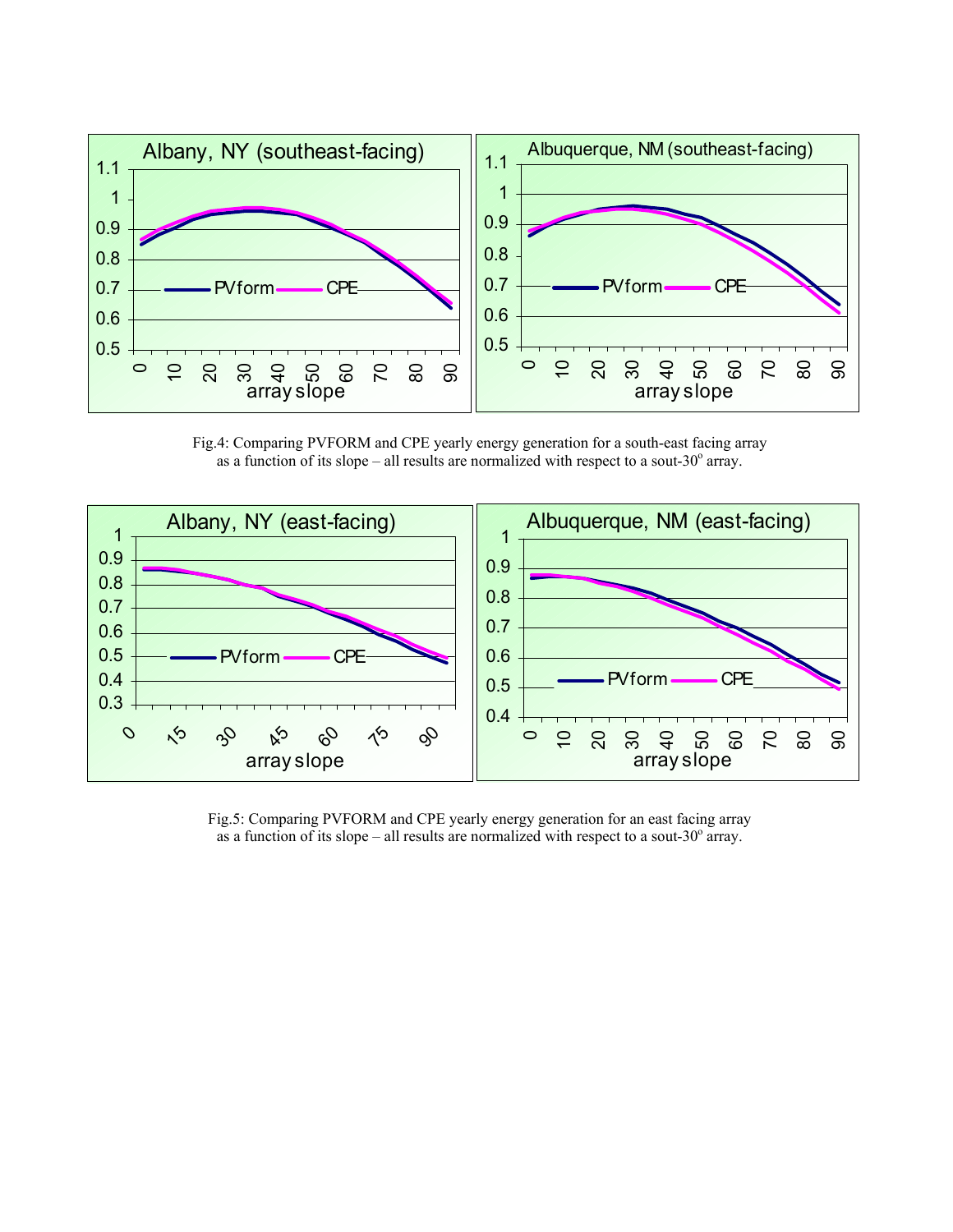

Fig.4: Comparing PVFORM and CPE yearly energy generation for a south-east facing array as a function of its slope – all results are normalized with respect to a sout-30 $^{\circ}$  array.



Fig.5: Comparing PVFORM and CPE yearly energy generation for an east facing array as a function of its slope – all results are normalized with respect to a sout-30 $^{\circ}$  array.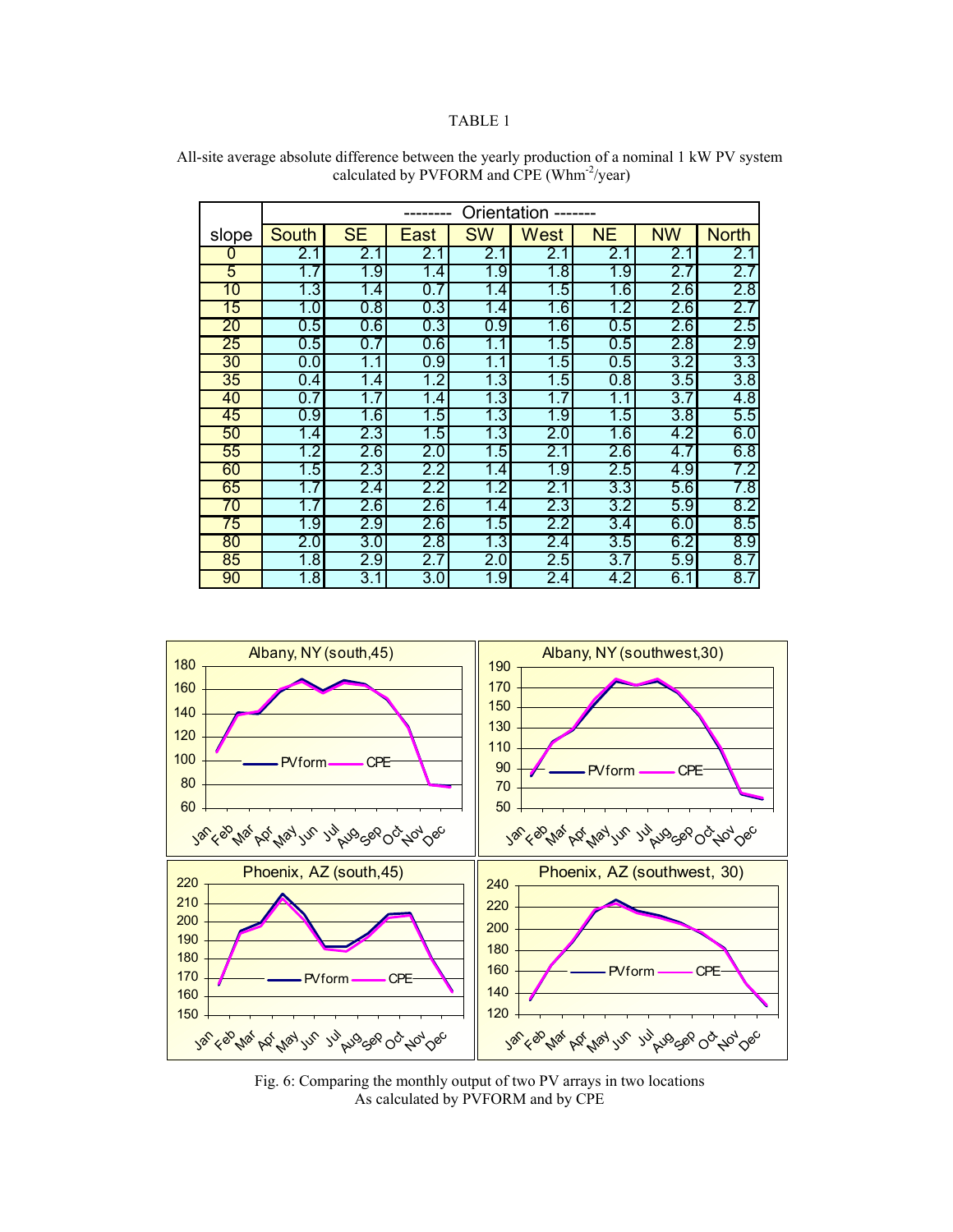## TABLE 1

|       | Orientation  |           |         |           |             |           |           |                  |
|-------|--------------|-----------|---------|-----------|-------------|-----------|-----------|------------------|
| slope | <b>South</b> | <b>SE</b> | East    | <b>SW</b> | <b>West</b> | <b>NE</b> | <b>NW</b> | <b>North</b>     |
| 0     | 2.1          | 2.1       | 2.1     | 2.1       | 2.1         | 2.1       | 2.1       | 2.1              |
| 5     | 1.7          | 1.9       | 1.4     | 1.9       | 1.8         | 1.9       | 2.7       | 2.7              |
| 10    | 1.3          | 1.4       | $0.7\,$ | 1.4       | 1.5         | 1.6       | 2.6       | 2.8              |
| 15    | 1.0          | 0.8       | 0.3     | 1.4       | 1.6         | 1.2       | 2.6       | 2.7              |
| 20    | 0.5          | 0.6       | 0.3     | 0.9       | 1.6         | 0.5       | 2.6       | 2.5              |
| 25    | 0.5          | 0.7       | 0.6     | 1.1       | 1.5         | 0.5       | 2.8       | 2.9              |
| 30    | 0.0          | 1.1       | 0.9     | 1.1       | 1.5         | 0.5       | 3.2       | $3.\overline{3}$ |
| 35    | 0.4          | 1.4       | 1.2     | 1.3       | 1.5         | 0.8       | 3.5       | 3.8              |
| 40    | 0.7          | 1.7       | 1.4     | 1.3       | 1.7         | 1.1       | 3.7       | 4.8              |
| 45    | 0.9          | 1.6       | 1.5     | 1.3       | 1.9         | 1.5       | 3.8       | 5.5              |
| 50    | 1.4          | 2.3       | 1.5     | 1.3       | 2.0         | 1.6       | 4.2       | 6.0              |
| 55    | 1.2          | $2.6\,$   | 2.0     | 1.5       | 2.1         | $2.6\,$   | 4.7       | 6.8              |
| 60    | 1.5          | 2.3       | 2.2     | 1.4       | 1.9         | 2.5       | 4.9       | 7.2              |
| 65    | 1.7          | 2.4       | 2.2     | 1.2       | 2.1         | 3.3       | 5.6       | 7.8              |
| 70    | 1.7          | 2.6       | 2.6     | 1.4       | 2.3         | 3.2       | 5.9       | 8.2              |
| 75    | 1.9          | 2.9       | 2.6     | 1.5       | $2.2\,$     | 3.4       | 6.0       | 8.5              |
| 80    | 2.0          | 3.0       | 2.8     | 1.3       | 2.4         | 3.5       | 6.2       | 8.9              |
| 85    | 1.8          | 2.9       | 2.7     | 2.0       | 2.5         | 3.7       | 5.9       | 8.7              |
| 90    | 1.8          | 3.1       | 3.0     | 1.9       | 2.4         | 4.2       | 6.1       | 8.7              |

All-site average absolute difference between the yearly production of a nominal 1 kW PV system calculated by PVFORM and CPE (Whm<sup>-2</sup>/year)



Fig. 6: Comparing the monthly output of two PV arrays in two locations As calculated by PVFORM and by CPE